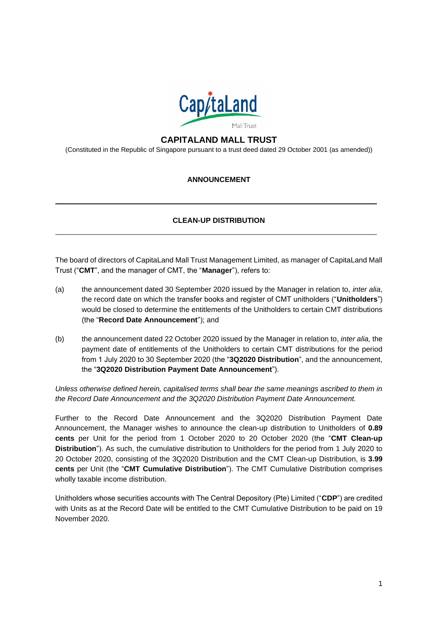

# **CAPITALAND MALL TRUST**

(Constituted in the Republic of Singapore pursuant to a trust deed dated 29 October 2001 (as amended))

## **ANNOUNCEMENT**

## **CLEAN-UP DISTRIBUTION**

The board of directors of CapitaLand Mall Trust Management Limited, as manager of CapitaLand Mall Trust ("**CMT**", and the manager of CMT, the "**Manager**"), refers to:

- (a) the announcement dated 30 September 2020 issued by the Manager in relation to, *inter alia*, the record date on which the transfer books and register of CMT unitholders ("**Unitholders**") would be closed to determine the entitlements of the Unitholders to certain CMT distributions (the "**Record Date Announcement**"); and
- (b) the announcement dated 22 October 2020 issued by the Manager in relation to, *inter alia,* the payment date of entitlements of the Unitholders to certain CMT distributions for the period from 1 July 2020 to 30 September 2020 (the "**3Q2020 Distribution**", and the announcement, the "**3Q2020 Distribution Payment Date Announcement**").

*Unless otherwise defined herein, capitalised terms shall bear the same meanings ascribed to them in the Record Date Announcement and the 3Q2020 Distribution Payment Date Announcement.*

Further to the Record Date Announcement and the 3Q2020 Distribution Payment Date Announcement, the Manager wishes to announce the clean-up distribution to Unitholders of **0.89 cents** per Unit for the period from 1 October 2020 to 20 October 2020 (the "**CMT Clean-up Distribution**"). As such, the cumulative distribution to Unitholders for the period from 1 July 2020 to 20 October 2020, consisting of the 3Q2020 Distribution and the CMT Clean-up Distribution, is **3.99 cents** per Unit (the "**CMT Cumulative Distribution**"). The CMT Cumulative Distribution comprises wholly taxable income distribution.

Unitholders whose securities accounts with The Central Depository (Pte) Limited ("**CDP**") are credited with Units as at the Record Date will be entitled to the CMT Cumulative Distribution to be paid on 19 November 2020.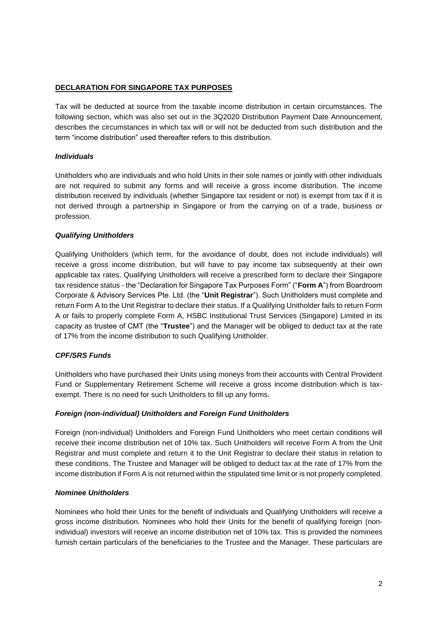## **DECLARATION FOR SINGAPORE TAX PURPOSES**

Tax will be deducted at source from the taxable income distribution in certain circumstances. The following section, which was also set out in the 3Q2020 Distribution Payment Date Announcement, describes the circumstances in which tax will or will not be deducted from such distribution and the term "income distribution" used thereafter refers to this distribution.

## *Individuals*

Unitholders who are individuals and who hold Units in their sole names or jointly with other individuals are not required to submit any forms and will receive a gross income distribution. The income distribution received by individuals (whether Singapore tax resident or not) is exempt from tax if it is not derived through a partnership in Singapore or from the carrying on of a trade, business or profession.

## *Qualifying Unitholders*

Qualifying Unitholders (which term, for the avoidance of doubt, does not include individuals) will receive a gross income distribution, but will have to pay income tax subsequently at their own applicable tax rates. Qualifying Unitholders will receive a prescribed form to declare their Singapore tax residence status - the "Declaration for Singapore Tax Purposes Form" ("**Form A**") from Boardroom Corporate & Advisory Services Pte. Ltd. (the "**Unit Registrar**"). Such Unitholders must complete and return Form A to the Unit Registrar to declare their status. If a Qualifying Unitholder fails to return Form A or fails to properly complete Form A, HSBC Institutional Trust Services (Singapore) Limited in its capacity as trustee of CMT (the "**Trustee**") and the Manager will be obliged to deduct tax at the rate of 17% from the income distribution to such Qualifying Unitholder.

## *CPF/SRS Funds*

Unitholders who have purchased their Units using moneys from their accounts with Central Provident Fund or Supplementary Retirement Scheme will receive a gross income distribution which is taxexempt. There is no need for such Unitholders to fill up any forms.

#### *Foreign (non-individual) Unitholders and Foreign Fund Unitholders*

Foreign (non-individual) Unitholders and Foreign Fund Unitholders who meet certain conditions will receive their income distribution net of 10% tax. Such Unitholders will receive Form A from the Unit Registrar and must complete and return it to the Unit Registrar to declare their status in relation to these conditions. The Trustee and Manager will be obliged to deduct tax at the rate of 17% from the income distribution if Form A is not returned within the stipulated time limit or is not properly completed.

#### *Nominee Unitholders*

Nominees who hold their Units for the benefit of individuals and Qualifying Unitholders will receive a gross income distribution. Nominees who hold their Units for the benefit of qualifying foreign (nonindividual) investors will receive an income distribution net of 10% tax. This is provided the nominees furnish certain particulars of the beneficiaries to the Trustee and the Manager. These particulars are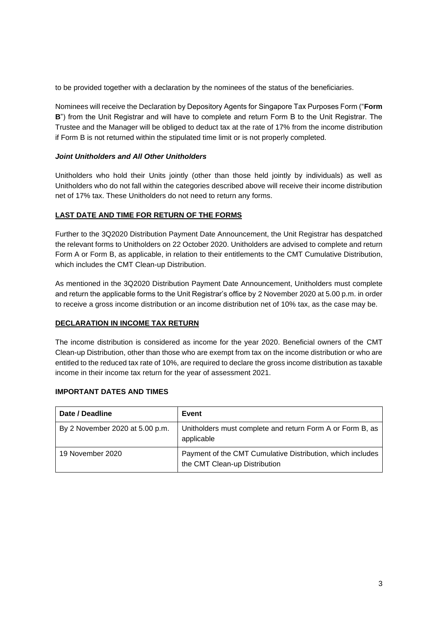to be provided together with a declaration by the nominees of the status of the beneficiaries.

Nominees will receive the Declaration by Depository Agents for Singapore Tax Purposes Form ("**Form B**") from the Unit Registrar and will have to complete and return Form B to the Unit Registrar. The Trustee and the Manager will be obliged to deduct tax at the rate of 17% from the income distribution if Form B is not returned within the stipulated time limit or is not properly completed.

## *Joint Unitholders and All Other Unitholders*

Unitholders who hold their Units jointly (other than those held jointly by individuals) as well as Unitholders who do not fall within the categories described above will receive their income distribution net of 17% tax. These Unitholders do not need to return any forms.

## **LAST DATE AND TIME FOR RETURN OF THE FORMS**

Further to the 3Q2020 Distribution Payment Date Announcement, the Unit Registrar has despatched the relevant forms to Unitholders on 22 October 2020. Unitholders are advised to complete and return Form A or Form B, as applicable, in relation to their entitlements to the CMT Cumulative Distribution, which includes the CMT Clean-up Distribution.

As mentioned in the 3Q2020 Distribution Payment Date Announcement, Unitholders must complete and return the applicable forms to the Unit Registrar's office by 2 November 2020 at 5.00 p.m. in order to receive a gross income distribution or an income distribution net of 10% tax, as the case may be.

#### **DECLARATION IN INCOME TAX RETURN**

The income distribution is considered as income for the year 2020. Beneficial owners of the CMT Clean-up Distribution, other than those who are exempt from tax on the income distribution or who are entitled to the reduced tax rate of 10%, are required to declare the gross income distribution as taxable income in their income tax return for the year of assessment 2021.

#### **IMPORTANT DATES AND TIMES**

| Date / Deadline                 | Event                                                                                       |
|---------------------------------|---------------------------------------------------------------------------------------------|
| By 2 November 2020 at 5.00 p.m. | Unitholders must complete and return Form A or Form B, as<br>applicable                     |
| 19 November 2020                | Payment of the CMT Cumulative Distribution, which includes<br>the CMT Clean-up Distribution |